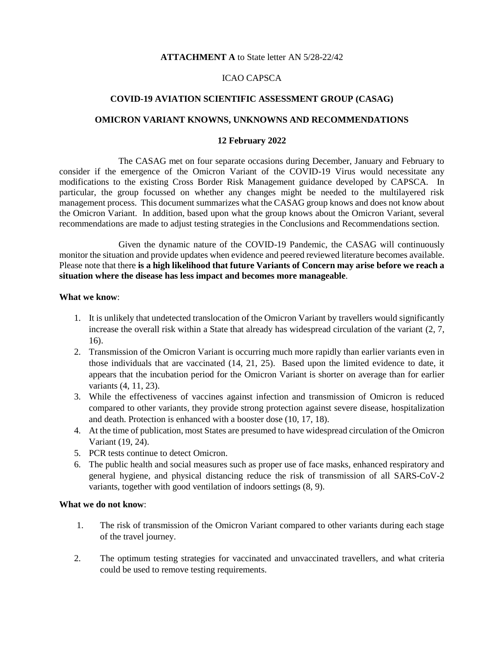# **ATTACHMENT A** to State letter AN 5/28-22/42

# ICAO CAPSCA

## **COVID-19 AVIATION SCIENTIFIC ASSESSMENT GROUP (CASAG)**

## **OMICRON VARIANT KNOWNS, UNKNOWNS AND RECOMMENDATIONS**

#### **12 February 2022**

The CASAG met on four separate occasions during December, January and February to consider if the emergence of the Omicron Variant of the COVID-19 Virus would necessitate any modifications to the existing Cross Border Risk Management guidance developed by CAPSCA. In particular, the group focussed on whether any changes might be needed to the multilayered risk management process. This document summarizes what the CASAG group knows and does not know about the Omicron Variant. In addition, based upon what the group knows about the Omicron Variant, several recommendations are made to adjust testing strategies in the Conclusions and Recommendations section.

Given the dynamic nature of the COVID-19 Pandemic, the CASAG will continuously monitor the situation and provide updates when evidence and peered reviewed literature becomes available. Please note that there **is a high likelihood that future Variants of Concern may arise before we reach a situation where the disease has less impact and becomes more manageable**.

#### **What we know**:

- 1. It is unlikely that undetected translocation of the Omicron Variant by travellers would significantly increase the overall risk within a State that already has widespread circulation of the variant (2, 7, 16).
- 2. Transmission of the Omicron Variant is occurring much more rapidly than earlier variants even in those individuals that are vaccinated (14, 21, 25). Based upon the limited evidence to date, it appears that the incubation period for the Omicron Variant is shorter on average than for earlier variants (4, 11, 23).
- 3. While the effectiveness of vaccines against infection and transmission of Omicron is reduced compared to other variants, they provide strong protection against severe disease, hospitalization and death. Protection is enhanced with a booster dose (10, 17, 18).
- 4. At the time of publication, most States are presumed to have widespread circulation of the Omicron Variant (19, 24).
- 5. PCR tests continue to detect Omicron.
- 6. The public health and social measures such as proper use of face masks, enhanced respiratory and general hygiene, and physical distancing reduce the risk of transmission of all SARS-CoV-2 variants, together with good ventilation of indoors settings (8, 9).

# **What we do not know**:

- 1. The risk of transmission of the Omicron Variant compared to other variants during each stage of the travel journey.
- 2. The optimum testing strategies for vaccinated and unvaccinated travellers, and what criteria could be used to remove testing requirements.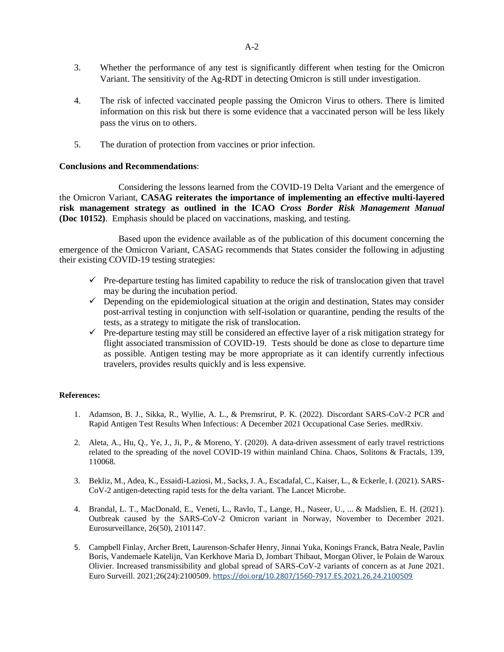- 3. Whether the performance of any test is significantly different when testing for the Omicron Variant. The sensitivity of the Ag-RDT in detecting Omicron is still under investigation.
- 4. The risk of infected vaccinated people passing the Omicron Virus to others. There is limited information on this risk but there is some evidence that a vaccinated person will be less likely pass the virus on to others.
- 5. The duration of protection from vaccines or prior infection.

# **Conclusions and Recommendations**:

Considering the lessons learned from the COVID-19 Delta Variant and the emergence of the Omicron Variant, **CASAG reiterates the importance of implementing an effective multi-layered risk management strategy as outlined in the ICAO** *Cross Border Risk Management Manual* **(Doc 10152)**. Emphasis should be placed on vaccinations, masking, and testing.

Based upon the evidence available as of the publication of this document concerning the emergence of the Omicron Variant, CASAG recommends that States consider the following in adjusting their existing COVID-19 testing strategies:

- $\checkmark$  Pre-departure testing has limited capability to reduce the risk of translocation given that travel may be during the incubation period.
- $\checkmark$  Depending on the epidemiological situation at the origin and destination, States may consider post-arrival testing in conjunction with self-isolation or quarantine, pending the results of the tests, as a strategy to mitigate the risk of translocation.
- $\checkmark$  Pre-departure testing may still be considered an effective layer of a risk mitigation strategy for flight associated transmission of COVID-19. Tests should be done as close to departure time as possible. Antigen testing may be more appropriate as it can identify currently infectious travelers, provides results quickly and is less expensive.

## **References:**

- 1. Adamson, B. J., Sikka, R., Wyllie, A. L., & Premsrirut, P. K. (2022). Discordant SARS-CoV-2 PCR and Rapid Antigen Test Results When Infectious: A December 2021 Occupational Case Series. medRxiv.
- 2. Aleta, A., Hu, Q., Ye, J., Ji, P., & Moreno, Y. (2020). A data-driven assessment of early travel restrictions related to the spreading of the novel COVID-19 within mainland China. Chaos, Solitons & Fractals, 139, 110068.
- 3. Bekliz, M., Adea, K., Essaidi-Laziosi, M., Sacks, J. A., Escadafal, C., Kaiser, L., & Eckerle, I. (2021). SARS-CoV-2 antigen-detecting rapid tests for the delta variant. The Lancet Microbe.
- 4. Brandal, L. T., MacDonald, E., Veneti, L., Ravlo, T., Lange, H., Naseer, U., ... & Madslien, E. H. (2021). Outbreak caused by the SARS-CoV-2 Omicron variant in Norway, November to December 2021. Eurosurveillance, 26(50), 2101147.
- 5. Campbell Finlay, Archer Brett, Laurenson-Schafer Henry, Jinnai Yuka, Konings Franck, Batra Neale, Pavlin Boris, Vandemaele Katelijn, Van Kerkhove Maria D, Jombart Thibaut, Morgan Oliver, le Polain de Waroux Olivier. Increased transmissibility and global spread of SARS-CoV-2 variants of concern as at June 2021. Euro Surveill. 2021;26(24):2100509. <https://doi.org/10.2807/1560-7917.ES.2021.26.24.2100509>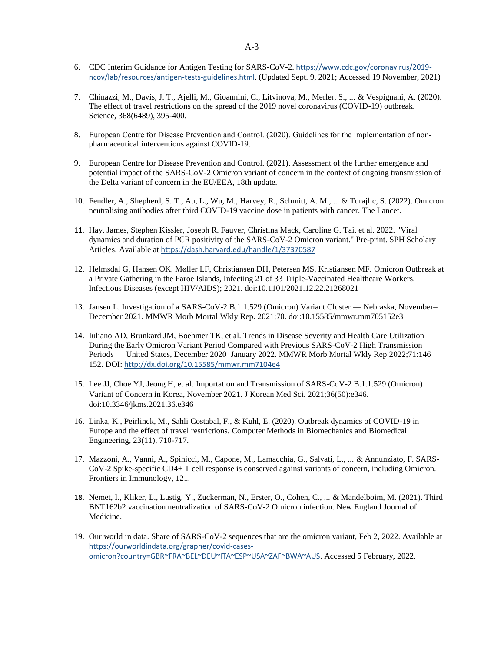- 6. CDC Interim Guidance for Antigen Testing for SARS-CoV-2. [https://www.cdc.gov/coronavirus/2019](https://www.cdc.gov/coronavirus/2019-ncov/lab/resources/antigen-tests-guidelines.html) [ncov/lab/resources/antigen-tests-guidelines.html.](https://www.cdc.gov/coronavirus/2019-ncov/lab/resources/antigen-tests-guidelines.html) (Updated Sept. 9, 2021; Accessed 19 November, 2021)
- 7. Chinazzi, M., Davis, J. T., Ajelli, M., Gioannini, C., Litvinova, M., Merler, S., ... & Vespignani, A. (2020). The effect of travel restrictions on the spread of the 2019 novel coronavirus (COVID-19) outbreak. Science, 368(6489), 395-400.
- 8. European Centre for Disease Prevention and Control. (2020). Guidelines for the implementation of nonpharmaceutical interventions against COVID‐19.
- 9. European Centre for Disease Prevention and Control. (2021). Assessment of the further emergence and potential impact of the SARS-CoV-2 Omicron variant of concern in the context of ongoing transmission of the Delta variant of concern in the EU/EEA, 18th update.
- 10. Fendler, A., Shepherd, S. T., Au, L., Wu, M., Harvey, R., Schmitt, A. M., ... & Turajlic, S. (2022). Omicron neutralising antibodies after third COVID-19 vaccine dose in patients with cancer. The Lancet.
- 11. Hay, James, Stephen Kissler, Joseph R. Fauver, Christina Mack, Caroline G. Tai, et al. 2022. "Viral dynamics and duration of PCR positivity of the SARS-CoV-2 Omicron variant." Pre-print. SPH Scholary Articles. Available at <https://dash.harvard.edu/handle/1/37370587>
- 12. Helmsdal G, Hansen OK, Møller LF, Christiansen DH, Petersen MS, Kristiansen MF. Omicron Outbreak at a Private Gathering in the Faroe Islands, Infecting 21 of 33 Triple-Vaccinated Healthcare Workers. Infectious Diseases (except HIV/AIDS); 2021. doi:10.1101/2021.12.22.21268021
- 13. Jansen L. Investigation of a SARS-CoV-2 B.1.1.529 (Omicron) Variant Cluster Nebraska, November– December 2021. MMWR Morb Mortal Wkly Rep. 2021;70. doi:10.15585/mmwr.mm705152e3
- 14. Iuliano AD, Brunkard JM, Boehmer TK, et al. Trends in Disease Severity and Health Care Utilization During the Early Omicron Variant Period Compared with Previous SARS-CoV-2 High Transmission Periods — United States, December 2020–January 2022. MMWR Morb Mortal Wkly Rep 2022;71:146– 152. DOI: <http://dx.doi.org/10.15585/mmwr.mm7104e4>
- 15. Lee JJ, Choe YJ, Jeong H, et al. Importation and Transmission of SARS-CoV-2 B.1.1.529 (Omicron) Variant of Concern in Korea, November 2021. J Korean Med Sci. 2021;36(50):e346. doi:10.3346/jkms.2021.36.e346
- 16. Linka, K., Peirlinck, M., Sahli Costabal, F., & Kuhl, E. (2020). Outbreak dynamics of COVID-19 in Europe and the effect of travel restrictions. Computer Methods in Biomechanics and Biomedical Engineering, 23(11), 710-717.
- 17. Mazzoni, A., Vanni, A., Spinicci, M., Capone, M., Lamacchia, G., Salvati, L., ... & Annunziato, F. SARS-CoV-2 Spike-specific CD4+ T cell response is conserved against variants of concern, including Omicron. Frontiers in Immunology, 121.
- 18. Nemet, I., Kliker, L., Lustig, Y., Zuckerman, N., Erster, O., Cohen, C., ... & Mandelboim, M. (2021). Third BNT162b2 vaccination neutralization of SARS-CoV-2 Omicron infection. New England Journal of Medicine.
- 19. Our world in data. Share of SARS-CoV-2 sequences that are the omicron variant, Feb 2, 2022. Available at [https://ourworldindata.org/grapher/covid-cases](https://ourworldindata.org/grapher/covid-cases-omicron?country=GBR~FRA~BEL~DEU~ITA~ESP~USA~ZAF~BWA~AUS)[omicron?country=GBR~FRA~BEL~DEU~ITA~ESP~USA~ZAF~BWA~AUS.](https://ourworldindata.org/grapher/covid-cases-omicron?country=GBR~FRA~BEL~DEU~ITA~ESP~USA~ZAF~BWA~AUS) Accessed 5 February, 2022.